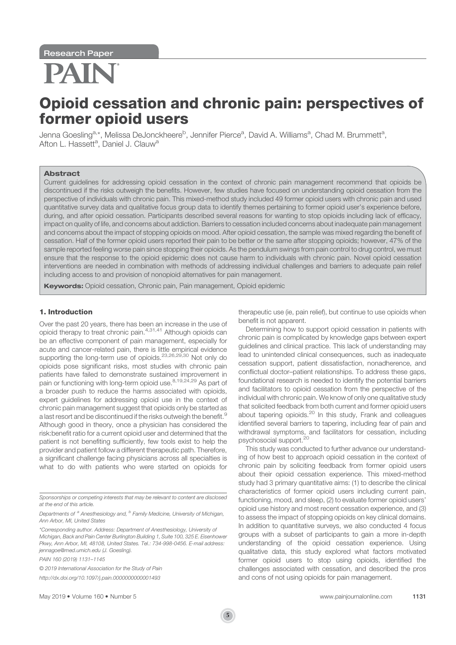# PAIR

# Opioid cessation and chronic pain: perspectives of former opioid users

Jenna Goesling<sup>a,</sup>\*, Melissa DeJonckheere<sup>b</sup>, Jennifer Pierce<sup>a</sup>, David A. Williams<sup>a</sup>, Chad M. Brummett<sup>a</sup>, Afton L. Hassett<sup>a</sup>, Daniel J. Clauw<sup>a</sup>

#### Abstract

Current guidelines for addressing opioid cessation in the context of chronic pain management recommend that opioids be discontinued if the risks outweigh the benefits. However, few studies have focused on understanding opioid cessation from the perspective of individuals with chronic pain. This mixed-method study included 49 former opioid users with chronic pain and used quantitative survey data and qualitative focus group data to identify themes pertaining to former opioid user's experience before, during, and after opioid cessation. Participants described several reasons for wanting to stop opioids including lack of efficacy, impact on quality of life, and concerns about addiction. Barriers to cessation included concerns about inadequate pain management and concerns about the impact of stopping opioids on mood. After opioid cessation, the sample was mixed regarding the benefit of cessation. Half of the former opioid users reported their pain to be better or the same after stopping opioids; however, 47% of the sample reported feeling worse pain since stopping their opioids. As the pendulum swings from pain control to drug control, we must ensure that the response to the opioid epidemic does not cause harm to individuals with chronic pain. Novel opioid cessation interventions are needed in combination with methods of addressing individual challenges and barriers to adequate pain relief including access to and provision of nonopioid alternatives for pain management.

**Keywords:** Opioid cessation, Chronic pain, Pain management, Opioid epidemic

# 1. Introduction

Over the past 20 years, there has been an increase in the use of opioid therapy to treat chronic pain.4,31,41 Although opioids can be an effective component of pain management, especially for acute and cancer-related pain, there is little empirical evidence supporting the long-term use of opioids.23,26,29,30 Not only do opioids pose significant risks, most studies with chronic pain patients have failed to demonstrate sustained improvement in pain or functioning with long-term opioid use.<sup>8,19,24,29</sup> As part of a broader push to reduce the harms associated with opioids, expert guidelines for addressing opioid use in the context of chronic pain management suggest that opioids only be started as a last resort and be discontinued if the risks outweigh the benefit.<sup>9</sup> Although good in theory, once a physician has considered the risk:benefit ratio for a current opioid user and determined that the patient is not benefiting sufficiently, few tools exist to help the provider and patient follow a different therapeutic path. Therefore, a significant challenge facing physicians across all specialties is what to do with patients who were started on opioids for

PAIN 160 (2019) 1131–1145

© 2019 International Association for the Study of Pain

therapeutic use (ie, pain relief), but continue to use opioids when benefit is not apparent.

Determining how to support opioid cessation in patients with chronic pain is complicated by knowledge gaps between expert guidelines and clinical practice. This lack of understanding may lead to unintended clinical consequences, such as inadequate cessation support, patient dissatisfaction, nonadherence, and conflictual doctor–patient relationships. To address these gaps, foundational research is needed to identify the potential barriers and facilitators to opioid cessation from the perspective of the individual with chronic pain. We know of only one qualitative study that solicited feedback from both current and former opioid users about tapering opioids.<sup>20</sup> In this study, Frank and colleagues identified several barriers to tapering, including fear of pain and withdrawal symptoms, and facilitators for cessation, including psychosocial support.<sup>20</sup>

This study was conducted to further advance our understanding of how best to approach opioid cessation in the context of chronic pain by soliciting feedback from former opioid users about their opioid cessation experience. This mixed-method study had 3 primary quantitative aims: (1) to describe the clinical characteristics of former opioid users including current pain, functioning, mood, and sleep, (2) to evaluate former opioid users' opioid use history and most recent cessation experience, and (3) to assess the impact of stopping opioids on key clinical domains. In addition to quantitative surveys, we also conducted 4 focus groups with a subset of participants to gain a more in-depth understanding of the opioid cessation experience. Using qualitative data, this study explored what factors motivated former opioid users to stop using opioids, identified the challenges associated with cessation, and described the pros and cons of not using opioids for pain management.

Sponsorships or competing interests that may be relevant to content are disclosed at the end of this article.

Departments of <sup>a</sup> Anesthesiology and, <sup>b</sup> Family Medicine, University of Michigan, Ann Arbor, MI, United States

<sup>\*</sup>Corresponding author. Address: Department of Anesthesiology, University of Michigan, Back and Pain Center Burlington Building 1, Suite 100, 325 E. Eisenhower Pkwy, Ann Arbor, MI, 48108, United States. Tel.: 734-998-0456. E-mail address: jennagoe@med.umich.edu (J. Goesling).

http://dx.doi.org/10.1097/j.pain.0000000000001493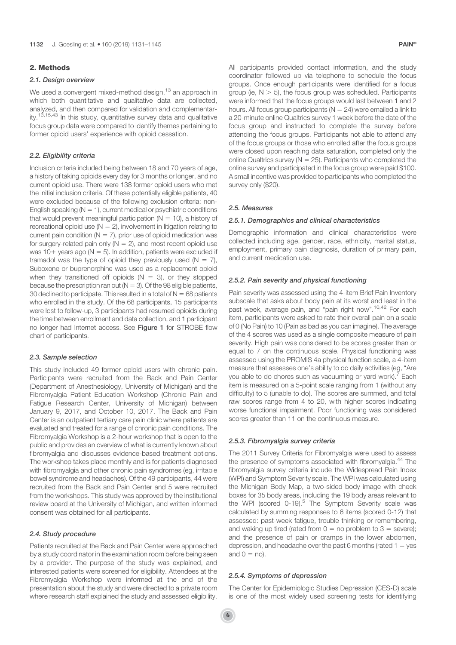# 2. Methods

# 2.1. Design overview

We used a convergent mixed-method design,<sup>13</sup> an approach in which both quantitative and qualitative data are collected. analyzed, and then compared for validation and complementarity.<sup>13,15,43</sup> In this study, quantitative survey data and qualitative focus group data were compared to identify themes pertaining to former opioid users' experience with opioid cessation.

# 2.2. Eligibility criteria

Inclusion criteria included being between 18 and 70 years of age, a history of taking opioids every day for 3 months or longer, and no current opioid use. There were 138 former opioid users who met the initial inclusion criteria. Of these potentially eligible patients, 40 were excluded because of the following exclusion criteria: non-English speaking ( $N = 1$ ), current medical or psychiatric conditions that would prevent meaningful participation ( $N = 10$ ), a history of recreational opioid use ( $N = 2$ ), involvement in litigation relating to current pain condition ( $N = 7$ ), prior use of opioid medication was for surgery-related pain only ( $N = 2$ ), and most recent opioid use was 10+ years ago ( $N = 5$ ). In addition, patients were excluded if tramadol was the type of opioid they previously used  $(N = 7)$ . Suboxone or buprenorphine was used as a replacement opioid when they transitioned off opioids ( $N = 3$ ), or they stopped because the prescription ran out ( $N = 3$ ). Of the 98 eligible patients, 30 declined to participate. This resulted in a total of  $N = 68$  patients who enrolled in the study. Of the 68 participants, 15 participants were lost to follow-up, 3 participants had resumed opioids during the time between enrollment and data collection, and 1 participant no longer had Internet access. See Figure 1 for STROBE flow chart of participants.

# 2.3. Sample selection

This study included 49 former opioid users with chronic pain. Participants were recruited from the Back and Pain Center (Department of Anesthesiology, University of Michigan) and the Fibromyalgia Patient Education Workshop (Chronic Pain and Fatigue Research Center, University of Michigan) between January 9, 2017, and October 10, 2017. The Back and Pain Center is an outpatient tertiary care pain clinic where patients are evaluated and treated for a range of chronic pain conditions. The Fibromyalgia Workshop is a 2-hour workshop that is open to the public and provides an overview of what is currently known about fibromyalgia and discusses evidence-based treatment options. The workshop takes place monthly and is for patients diagnosed with fibromyalgia and other chronic pain syndromes (eg, irritable bowel syndrome and headaches). Of the 49 participants, 44 were recruited from the Back and Pain Center and 5 were recruited from the workshops. This study was approved by the institutional review board at the University of Michigan, and written informed consent was obtained for all participants.

# 2.4. Study procedure

Patients recruited at the Back and Pain Center were approached by a study coordinator in the examination room before being seen by a provider. The purpose of the study was explained, and interested patients were screened for eligibility. Attendees at the Fibromyalgia Workshop were informed at the end of the presentation about the study and were directed to a private room where research staff explained the study and assessed eligibility. All participants provided contact information, and the study coordinator followed up via telephone to schedule the focus groups. Once enough participants were identified for a focus group (ie,  $N > 5$ ), the focus group was scheduled. Participants were informed that the focus groups would last between 1 and 2 hours. All focus group participants ( $N = 24$ ) were emailed a link to a 20-minute online Qualtrics survey 1 week before the date of the focus group and instructed to complete the survey before attending the focus groups. Participants not able to attend any of the focus groups or those who enrolled after the focus groups were closed upon reaching data saturation, completed only the online Qualtrics survey ( $N = 25$ ). Participants who completed the online survey and participated in the focus group were paid \$100. A small incentive was provided to participants who completed the survey only (\$20).

# 2.5. Measures

#### 2.5.1. Demographics and clinical characteristics

Demographic information and clinical characteristics were collected including age, gender, race, ethnicity, marital status, employment, primary pain diagnosis, duration of primary pain, and current medication use.

# 2.5.2. Pain severity and physical functioning

Pain severity was assessed using the 4-item Brief Pain Inventory subscale that asks about body pain at its worst and least in the past week, average pain, and "pain right now".<sup>10,42</sup> For each item, participants were asked to rate their overall pain on a scale of 0 (No Pain) to 10 (Pain as bad as you can imagine). The average of the 4 scores was used as a single composite measure of pain severity. High pain was considered to be scores greater than or equal to 7 on the continuous scale. Physical functioning was assessed using the PROMIS 4a physical function scale, a 4-item measure that assesses one's ability to do daily activities (eg, "Are you able to do chores such as vacuuming or yard work).<sup>7</sup> Each item is measured on a 5-point scale ranging from 1 (without any difficulty) to 5 (unable to do). The scores are summed, and total raw scores range from 4 to 20, with higher scores indicating worse functional impairment. Poor functioning was considered scores greater than 11 on the continuous measure.

#### 2.5.3. Fibromyalgia survey criteria

The 2011 Survey Criteria for Fibromyalgia were used to assess the presence of symptoms associated with fibromyalgia.<sup>44</sup> The fibromyalgia survey criteria include the Widespread Pain Index (WPI) and Symptom Severity scale. The WPI was calculated using the Michigan Body Map, a two-sided body image with check boxes for 35 body areas, including the 19 body areas relevant to the WPI (scored 0-19).<sup>5</sup> The Symptom Severity scale was calculated by summing responses to 6 items (scored 0-12) that assessed: past-week fatigue, trouble thinking or remembering, and waking up tired (rated from  $0 =$  no problem to  $3 =$  severe); and the presence of pain or cramps in the lower abdomen, depression, and headache over the past 6 months (rated  $1 = yes$ and  $0 =$  no).

# 2.5.4. Symptoms of depression

The Center for Epidemiologic Studies Depression (CES-D) scale is one of the most widely used screening tests for identifying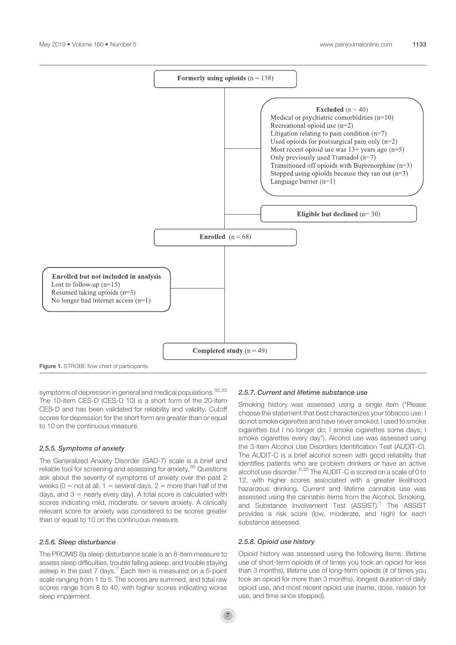

symptoms of depression in general and medical populations.  $32,33$ The 10-item CES-D (CES-D 10) is a short form of the 20-item CES-D and has been validated for reliability and validity. Cutoff scores for depression for the short form are greater than or equal to 10 on the continuous measure.

# 2.5.5. Symptoms of anxiety

The Generalized Anxiety Disorder (GAD-7) scale is a brief and reliable tool for screening and assessing for anxiety.<sup>36</sup> Questions ask about the severity of symptoms of anxiety over the past 2 weeks ( $0 =$  not at all,  $1 =$  several days,  $2 =$  more than half of the days, and  $3 =$  nearly every day). A total score is calculated with scores indicating mild, moderate, or severe anxiety. A clinically relevant score for anxiety was considered to be scores greater than or equal to 10 on the continuous measure.

# 2.5.6. Sleep disturbance

The PROMIS 8a sleep disturbance scale is an 8-item measure to assess sleep difficulties, trouble falling asleep, and trouble staying asleep in the past 7 days.<sup>7</sup> Each item is measured on a 5-point scale ranging from 1 to 5. The scores are summed, and total raw scores range from 8 to 40, with higher scores indicating worse sleep impairment.

# 2.5.7. Current and lifetime substance use

Smoking history was assessed using a single item ("Please choose the statement that best characterizes your tobacco use: I do not smoke cigarettes and have never smoked; I used to smoke cigarettes but I no longer do; I smoke cigarettes some days; I smoke cigarettes every day"). Alcohol use was assessed using the 3-item Alcohol Use Disorders Identification Test (AUDIT-C). The AUDIT-C is a brief alcohol screen with good reliability that identifies patients who are problem drinkers or have an active alcohol use disorder.<sup>6,35</sup> The AUDIT-C is scored on a scale of 0 to 12, with higher scores associated with a greater likelihood hazardous drinking. Current and lifetime cannabis use was assessed using the cannabis items from the Alcohol, Smoking, and Substance Involvement Test (ASSIST).<sup>1</sup> The ASSIST provides a risk score (low, moderate, and high) for each substance assessed.

# 2.5.8. Opioid use history

Opioid history was assessed using the following items: lifetime use of short-term opioids (# of times you took an opioid for less than 3 months), lifetime use of long-term opioids (# of times you took an opioid for more than 3 months), longest duration of daily opioid use, and most recent opioid use (name, dose, reason for use, and time since stopped).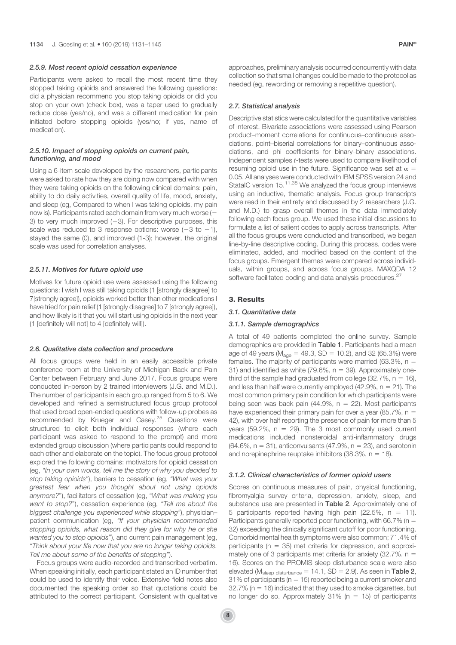#### 2.5.9. Most recent opioid cessation experience

Participants were asked to recall the most recent time they stopped taking opioids and answered the following questions: did a physician recommend you stop taking opioids or did you stop on your own (check box), was a taper used to gradually reduce dose (yes/no), and was a different medication for pain initiated before stopping opioids (yes/no; if yes, name of medication).

# 2.5.10. Impact of stopping opioids on current pain, functioning, and mood

Using a 6-item scale developed by the researchers, participants were asked to rate how they are doing now compared with when they were taking opioids on the following clinical domains: pain, ability to do daily activities, overall quality of life, mood, anxiety, and sleep (eg, Compared to when I was taking opioids, my pain now is). Participants rated each domain from very much worse (2 3) to very much improved  $(+3)$ . For descriptive purposes, this scale was reduced to 3 response options: worse  $(-3 \text{ to } -1)$ , stayed the same (0), and improved (1-3); however, the original scale was used for correlation analyses.

#### 2.5.11. Motives for future opioid use

Motives for future opioid use were assessed using the following questions: I wish I was still taking opioids (1 [strongly disagree] to 7[strongly agree]), opioids worked better than other medications I have tried for pain relief (1 [strongly disagree] to 7 [strongly agree]), and how likely is it that you will start using opioids in the next year (1 [definitely will not] to 4 [definitely will]).

#### 2.6. Qualitative data collection and procedure

All focus groups were held in an easily accessible private conference room at the University of Michigan Back and Pain Center between February and June 2017. Focus groups were conducted in-person by 2 trained interviewers (J.G. and M.D.). The number of participants in each group ranged from 5 to 6. We developed and refined a semistructured focus group protocol that used broad open-ended questions with follow-up probes as recommended by Krueger and Casey.<sup>25</sup> Questions were structured to elicit both individual responses (where each participant was asked to respond to the prompt) and more extended group discussion (where participants could respond to each other and elaborate on the topic). The focus group protocol explored the following domains: motivators for opioid cessation (eg, "In your own words, tell me the story of why you decided to stop taking opioids"), barriers to cessation (eg, "What was your greatest fear when you thought about not using opioids anymore?"), facilitators of cessation (eg, "What was making you want to stop?"), cessation experience (eg, "Tell me about the biggest challenge you experienced while stopping"), physician– patient communication (eg, "If your physician recommended stopping opioids, what reason did they give for why he or she wanted you to stop opioids"), and current pain management (eg, "Think about your life now that you are no longer taking opioids. Tell me about some of the benefits of stopping").

Focus groups were audio-recorded and transcribed verbatim. When speaking initially, each participant stated an ID number that could be used to identify their voice. Extensive field notes also documented the speaking order so that quotations could be attributed to the correct participant. Consistent with qualitative approaches, preliminary analysis occurred concurrently with data collection so that small changes could be made to the protocol as needed (eg, rewording or removing a repetitive question).

# 2.7. Statistical analysis

Descriptive statistics were calculated for the quantitative variables of interest. Bivariate associations were assessed using Pearson product–moment correlations for continuous–continuous associations, point–biserial correlations for binary–continuous associations, and phi coefficients for binary–binary associations. Independent samples t-tests were used to compare likelihood of resuming opioid use in the future. Significance was set at  $\alpha =$ 0.05. All analyses were conducted with IBM SPSS version 24 and StataIC version 15.<sup>11,38</sup> We analyzed the focus group interviews using an inductive, thematic analysis. Focus group transcripts were read in their entirety and discussed by 2 researchers (J.G. and M.D.) to grasp overall themes in the data immediately following each focus group. We used these initial discussions to formulate a list of salient codes to apply across transcripts. After all the focus groups were conducted and transcribed, we began line-by-line descriptive coding. During this process, codes were eliminated, added, and modified based on the content of the focus groups. Emergent themes were compared across individuals, within groups, and across focus groups. MAXQDA 12 software facilitated coding and data analysis procedures.<sup>27</sup>

# 3. Results

# 3.1. Quantitative data

# 3.1.1. Sample demographics

A total of 49 patients completed the online survey. Sample demographics are provided in Table 1. Participants had a mean age of 49 years ( $M_{\text{age}} = 49.3$ , SD = 10.2), and 32 (65.3%) were females. The majority of participants were married (63.3%,  $n =$ 31) and identified as white  $(79.6\% , n = 39)$ . Approximately onethird of the sample had graduated from college  $(32.7\% , n = 16)$ , and less than half were currently employed (42.9%,  $n = 21$ ). The most common primary pain condition for which participants were being seen was back pain (44.9%,  $n = 22$ ). Most participants have experienced their primary pain for over a year (85.7%,  $n =$ 42), with over half reporting the presence of pain for more than 5 years (59.2%,  $n = 29$ ). The 3 most commonly used current medications included nonsteroidal anti-inflammatory drugs  $(64.6\%, n = 31)$ , anticonvulsants (47.9%, n = 23), and serotonin and norepinephrine reuptake inhibitors  $(38.3\% \, \text{n} = 18)$ .

# 3.1.2. Clinical characteristics of former opioid users

Scores on continuous measures of pain, physical functioning, fibromyalgia survey criteria, depression, anxiety, sleep, and substance use are presented in Table 2. Approximately one of 5 participants reported having high pain (22.5%,  $n = 11$ ). Participants generally reported poor functioning, with 66.7% ( $n =$ 32) exceeding the clinically significant cutoff for poor functioning. Comorbid mental health symptoms were also common; 71.4% of participants ( $n = 35$ ) met criteria for depression, and approximately one of 3 participants met criteria for anxiety (32.7%,  $n =$ 16). Scores on the PROMIS sleep disturbance scale were also elevated ( $M_{\text{sleep}}$  disturbance = 14.1, SD = 2.9). As seen in Table 2, 31% of participants ( $n = 15$ ) reported being a current smoker and  $32.7\%$  (n = 16) indicated that they used to smoke cigarettes, but no longer do so. Approximately  $31\%$  (n = 15) of participants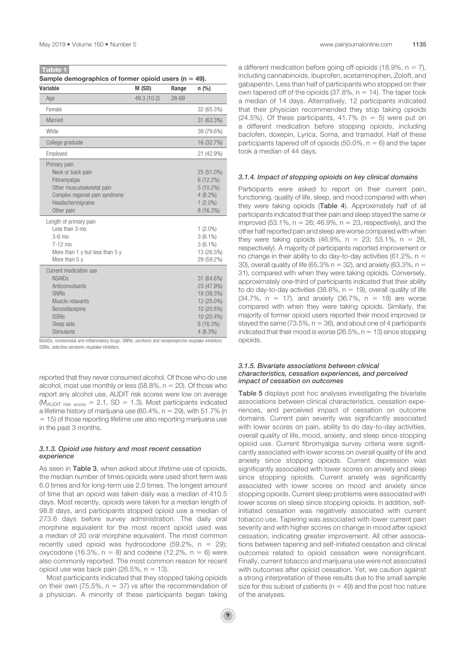| Sample demographics of former opioid users ( $n = 49$ ).                        |             |           |                                          |  |  |
|---------------------------------------------------------------------------------|-------------|-----------|------------------------------------------|--|--|
| <b>Variable</b>                                                                 | M (SD)      | Range     | $n$ (%)                                  |  |  |
| Age                                                                             | 49.3 (10.2) | $28 - 69$ |                                          |  |  |
| Female                                                                          |             |           | 32 (65.3%)                               |  |  |
| Married                                                                         |             |           | 31 (63.3%)                               |  |  |
| White                                                                           |             |           | 39 (79.6%)                               |  |  |
| College graduate                                                                |             |           | 16 (32.7%)                               |  |  |
| Employed                                                                        |             |           | 21 (42.9%)                               |  |  |
| Primary pain<br>Neck or back pain<br>Fibromyalgia<br>Other musculoskeletal pain |             |           | 25 (51.0%)<br>$6(12.2\%)$<br>$5(10.2\%)$ |  |  |

| Complex regional pain syndrome<br>Headache/migraine<br>Other pain | $4(8.2\%)$<br>$1(2.0\%)$<br>$8(16.3\%)$ |
|-------------------------------------------------------------------|-----------------------------------------|
| Length of primary pain<br>Less than 3 mo<br>$3-6$ mo              | $1(2.0\%)$                              |
| $7-12 \text{ mo}$<br>More than 1 y but less than 5 y              | $3(6.1\%)$<br>$3(6.1\%)$<br>13 (26.5%)  |
| More than $5y$                                                    | 29 (59.2%)                              |
| Current medication use                                            |                                         |
| <b>NSAIDs</b>                                                     | 31 (64.6%)                              |
| Anticonvulsants                                                   | 23 (47.9%)                              |
| <b>SNRIS</b>                                                      | 18 (38.3%)                              |
| Muscle relaxants                                                  | 12 (25.0%)                              |
| Benzodiazepine                                                    | 10 (20.8%)                              |
| <b>SSRIS</b>                                                      | 10 (20.4%)                              |
| Sleep aids                                                        | 8(16.3%)                                |
| <b>Stimulants</b>                                                 | $4(8.3\%)$                              |

NSAIDs, nonsteroidal anti-inflammatory drugs; SNRIs, serotonin and norepinephrine reuptake inhibitors; SSRIs, selective serotonin reuptake inhibitors.

reported that they never consumed alcohol. Of those who do use alcohol, most use monthly or less  $(58.8\%, n = 20)$ . Of those who report any alcohol use, AUDIT risk scores were low on average ( $M_{\text{AUDIT risk score}}$  = 2.1, SD = 1.3). Most participants indicated a lifetime history of marijuana use (60.4%,  $n = 29$ ), with 51.7% (n  $=$  15) of those reporting lifetime use also reporting marijuana use in the past 3 months.

# 3.1.3. Opioid use history and most recent cessation experience

As seen in Table 3, when asked about lifetime use of opioids, the median number of times opioids were used short term was 6.0 times and for long-term use 2.0 times. The longest amount of time that an opioid was taken daily was a median of 410.5 days. Most recently, opioids were taken for a median length of 98.8 days, and participants stopped opioid use a median of 273.6 days before survey administration. The daily oral morphine equivalent for the most recent opioid used was a median of 20 oral morphine equivalent. The most common recently used opioid was hydrocodone (59.2%,  $n = 29$ ); oxycodone (16.3%,  $n = 8$ ) and codeine (12.2%,  $n = 6$ ) were also commonly reported. The most common reason for recent opioid use was back pain (26.5%,  $n = 13$ ).

Most participants indicated that they stopped taking opioids on their own (75.5%,  $n = 37$ ) vs after the recommendation of a physician. A minority of these participants began taking a different medication before going off opioids (18.9%,  $n = 7$ ), including cannabinoids, ibuprofen, acetaminophen, Zoloft, and gabapentin. Less than half of participants who stopped on their own tapered off of the opioids  $(37.8\% \, \text{n} = 14)$ . The taper took a median of 14 days. Alternatively, 12 participants indicated that their physician recommended they stop taking opioids  $(24.5\%)$ . Of these participants, 41.7% (n = 5) were put on a different medication before stopping opioids, including baclofen, doxepin, Lyrica, Soma, and tramadol. Half of these participants tapered off of opioids  $(50.0\% , n = 6)$  and the taper took a median of 44 days.

#### 3.1.4. Impact of stopping opioids on key clinical domains

Participants were asked to report on their current pain, functioning, quality of life, sleep, and mood compared with when they were taking opioids (Table 4). Approximately half of all participants indicated that their pain and sleep stayed the same or improved (53.1%,  $n = 26$ ; 46.9%,  $n = 23$ , respectively), and the other half reported pain and sleep are worse compared with when they were taking opioids (46.9%,  $n = 23$ ; 53.1%,  $n = 26$ , respectively). A majority of participants reported improvement or no change in their ability to do day-to-day activities (61.2%,  $n =$ 30), overall quality of life (65.3%  $n = 32$ ), and anxiety (63.3%,  $n =$ 31), compared with when they were taking opioids. Conversely, approximately one-third of participants indicated that their ability to do day-to-day activities (38.8%,  $n = 19$ ), overall quality of life  $(34.7\% , n = 17)$ , and anxiety  $(36.7\% , n = 18)$  are worse compared with when they were taking opioids. Similarly, the majority of former opioid users reported their mood improved or stayed the same (73.5%,  $n = 36$ ), and about one of 4 participants indicated that their mood is worse (26.5%,  $n = 13$ ) since stopping opioids.

# 3.1.5. Bivariate associations between clinical characteristics, cessation experiences, and perceived impact of cessation on outcomes

Table 5 displays post hoc analyses investigating the bivariate associations between clinical characteristics, cessation experiences, and perceived impact of cessation on outcome domains. Current pain severity was significantly associated with lower scores on pain, ability to do day-to-day activities, overall quality of life, mood, anxiety, and sleep since stopping opioid use. Current fibromyalgia survey criteria were significantly associated with lower scores on overall quality of life and anxiety since stopping opioids. Current depression was significantly associated with lower scores on anxiety and sleep since stopping opioids. Current anxiety was significantly associated with lower scores on mood and anxiety since stopping opioids. Current sleep problems were associated with lower scores on sleep since stopping opioids. In addition, selfinitiated cessation was negatively associated with current tobacco use. Tapering was associated with lower current pain severity and with higher scores on change in mood after opioid cessation, indicating greater improvement. All other associations between tapering and self-initiated cessation and clinical outcomes related to opioid cessation were nonsignificant. Finally, current tobacco and marijuana use were not associated with outcomes after opioid cessation. Yet, we caution against a strong interpretation of these results due to the small sample size for this subset of patients ( $n = 49$ ) and the post hoc nature of the analyses.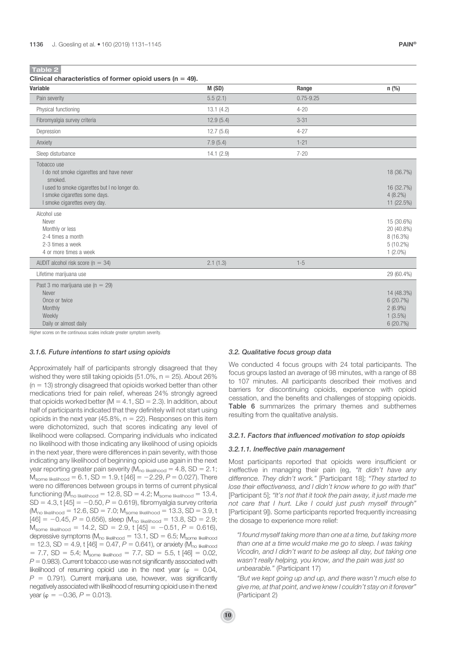| Clinical characteristics of former opioid users ( $n = 49$ ).                                                                                                                          |           |               |                                                                    |
|----------------------------------------------------------------------------------------------------------------------------------------------------------------------------------------|-----------|---------------|--------------------------------------------------------------------|
| <b>Variable</b>                                                                                                                                                                        | M(SD)     | Range         | $n$ (%)                                                            |
| Pain severity                                                                                                                                                                          | 5.5(2.1)  | $0.75 - 9.25$ |                                                                    |
| Physical functioning                                                                                                                                                                   | 13.1(4.2) | $4 - 20$      |                                                                    |
| Fibromyalgia survey criteria                                                                                                                                                           | 12.9(5.4) | $3 - 31$      |                                                                    |
| Depression                                                                                                                                                                             | 12.7(5.6) | $4 - 27$      |                                                                    |
| Anxiety                                                                                                                                                                                | 7.9(5.4)  | $1 - 21$      |                                                                    |
| Sleep disturbance                                                                                                                                                                      | 14.1(2.9) | $7 - 20$      |                                                                    |
| Tobacco use<br>I do not smoke cigarettes and have never<br>smoked.<br>I used to smoke cigarettes but I no longer do.<br>I smoke cigarettes some days.<br>I smoke cigarettes every day. |           |               | 18 (36.7%)<br>16 (32.7%)<br>$4(8.2\%)$<br>11 (22.5%)               |
| Alcohol use<br>Never<br>Monthly or less<br>2-4 times a month<br>2-3 times a week<br>4 or more times a week                                                                             |           |               | 15 (30.6%)<br>20 (40.8%)<br>8 (16.3%)<br>$5(10.2\%)$<br>$1(2.0\%)$ |
| AUDIT alcohol risk score ( $n = 34$ )                                                                                                                                                  | 2.1(1.3)  | $1 - 5$       |                                                                    |
| Lifetime marijuana use                                                                                                                                                                 |           |               | 29 (60.4%)                                                         |
| Past 3 mo marijuana use (n = 29)<br>Never<br>Once or twice<br>Monthly<br>Weekly<br>Daily or almost daily                                                                               |           |               | 14 (48.3%)<br>6(20.7%)<br>$2(6.9\%)$<br>$1(3.5\%)$<br>6(20.7%)     |

Higher scores on the continuous scales indicate greater symptom severity.

#### 3.1.6. Future intentions to start using opioids

Approximately half of participants strongly disagreed that they wished they were still taking opioids  $(51.0\% , n = 25)$ . About 26%  $(n = 13)$  strongly disagreed that opioids worked better than other medications tried for pain relief, whereas 24% strongly agreed that opioids worked better ( $M = 4.1$ , SD = 2.3). In addition, about half of participants indicated that they definitely will not start using opioids in the next year (45.8%,  $n = 22$ ). Responses on this item were dichotomized, such that scores indicating any level of likelihood were collapsed. Comparing individuals who indicated no likelihood with those indicating any likelihood of using opioids in the next year, there were differences in pain severity, with those indicating any likelihood of beginning opioid use again in the next year reporting greater pain severity ( $M_{no\; likelihood} = 4.8$ , SD = 2.1;  $M_{\text{some likelihood}} = 6.1$ ,  $SD = 1.9$ , t  $[46] = -2.29$ ,  $P = 0.027$ ). There were no differences between groups in terms of current physical functioning ( $M_{\text{no likelihood}} = 12.8$ , SD = 4.2;  $M_{\text{some likelihood}} = 13.4$ ,  $SD = 4.3$ , t  $[45] = -0.50$ ,  $P = 0.619$ ), fibromyalgia survey criteria  $(M_{no\ likelihood} = 12.6, SD = 7.0; M_{some\ likelihood} = 13.3, SD = 3.9, t$  $[46] = -0.45, P = 0.656$ ), sleep (M<sub>no likelihood</sub> = 13.8, SD = 2.9;  $M_{\text{some likelihood}} = 14.2$ , SD = 2.9, t [45] = -0.51, P = 0.616), depressive symptoms ( $M_{\text{no likelihood}} = 13.1$ , SD = 6.5;  $M_{\text{some likelihood}}$  $= 12.3$ , SD = 4.9, t [46] = 0.47, P = 0.641), or anxiety (M<sub>no likelihood</sub>  $= 7.7$ , SD  $= 5.4$ ; M<sub>some likelihood</sub>  $= 7.7$ , SD  $= 5.5$ , t [46]  $= 0.02$ ,  $P = 0.983$ ). Current tobacco use was not significantly associated with likelihood of resuming opioid use in the next year ( $\varphi = 0.04$ ,  $P = 0.791$ ). Current marijuana use, however, was significantly negatively associated with likelihood of resuming opioid use in the next year ( $\varphi = -0.36$ ,  $P = 0.013$ ).

#### 3.2. Qualitative focus group data

We conducted 4 focus groups with 24 total participants. The focus groups lasted an average of 98 minutes, with a range of 88 to 107 minutes. All participants described their motives and barriers for discontinuing opioids, experience with opioid cessation, and the benefits and challenges of stopping opioids. Table 6 summarizes the primary themes and subthemes resulting from the qualitative analysis.

#### 3.2.1. Factors that influenced motivation to stop opioids

# 3.2.1.1. Ineffective pain management

Most participants reported that opioids were insufficient or ineffective in managing their pain (eg, "It didn't have any difference. They didn't work." [Participant 18]; "They started to lose their effectiveness, and I didn't know where to go with that" [Participant 5]; "It's not that it took the pain away, it just made me not care that I hurt. Like I could just push myself through" [Participant 9]). Some participants reported frequently increasing the dosage to experience more relief:

"I found myself taking more than one at a time, but taking more than one at a time would make me go to sleep. I was taking Vicodin, and I didn't want to be asleep all day, but taking one wasn't really helping, you know, and the pain was just so unbearable." (Participant 17)

"But we kept going up and up, and there wasn't much else to give me, at that point, and we knew I couldn't stay on it forever" (Participant 2)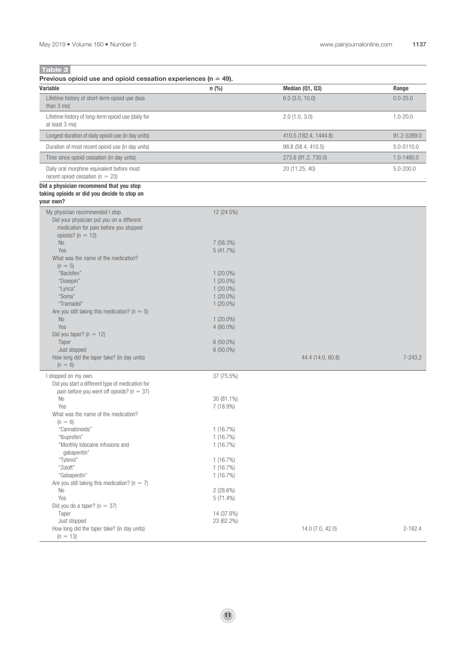| Previous opioid use and opioid cessation experiences ( $n = 49$ ).                                                                                           |                        |                       |               |
|--------------------------------------------------------------------------------------------------------------------------------------------------------------|------------------------|-----------------------|---------------|
| <b>Variable</b>                                                                                                                                              | n(%)                   | Median (Q1, Q3)       | Range         |
| Lifetime history of short-term opioid use (less<br>than $3 \text{ mo}$ )                                                                                     |                        | $6.0$ (3.0, 10.0)     | $0.0 - 25.0$  |
| Lifetime history of long-term opioid use (daily for<br>at least 3 mo)                                                                                        |                        | $2.0$ (1.0, 3.0)      | $1.0 - 20.0$  |
| Longest duration of daily opioid use (in day units)                                                                                                          |                        | 410.5 (182.4, 1444.8) | 91.2-5289.0   |
| Duration of most recent opioid use (in day units)                                                                                                            |                        | 98.8 (58.4, 410.5)    | 5.0-5110.0    |
| Time since opioid cessation (in day units)                                                                                                                   |                        | 273.6 (91.2, 730.0)   | 1.0-1460.0    |
| Daily oral morphine equivalent before most<br>recent opioid cessation ( $n = 23$ )                                                                           |                        | 20 (11.25, 40)        | $5.0 - 200.0$ |
| Did a physician recommend that you stop<br>taking opioids or did you decide to stop on<br>your own?                                                          |                        |                       |               |
| My physician recommended I stop<br>Did your physician put you on a different<br>medication for pain before you stopped<br>opioids? ( $n = 12$ )<br><b>No</b> | 12 (24.5%)<br>7(58.3%) |                       |               |
| Yes                                                                                                                                                          | 5(41.7%)               |                       |               |
| What was the name of the medication?<br>$(n = 5)$                                                                                                            |                        |                       |               |
| "Baclofen"                                                                                                                                                   | $1(20.0\%)$            |                       |               |
| "Doxepin"                                                                                                                                                    | $1(20.0\%)$            |                       |               |
| "Lyrica"                                                                                                                                                     | $1(20.0\%)$            |                       |               |
| "Soma"                                                                                                                                                       | $1(20.0\%)$            |                       |               |
| "Tramadol"<br>Are you still taking this medication? ( $n = 5$ )                                                                                              | $1(20.0\%)$            |                       |               |
| $\rm No$                                                                                                                                                     | $1(20.0\%)$            |                       |               |
| Yes                                                                                                                                                          | 4 (80.0%)              |                       |               |
| Did you taper? ( $n = 12$ )                                                                                                                                  |                        |                       |               |
| Taper                                                                                                                                                        | $6(50.0\%)$            |                       |               |
| Just stopped                                                                                                                                                 | 6 (50.0%)              |                       | $7 - 243.2$   |
| How long did the taper take? (in day units)<br>$(n = 6)$                                                                                                     |                        | 44.4 (14.0, 60.8)     |               |
| I stopped on my own.                                                                                                                                         | 37 (75.5%)             |                       |               |
| Did you start a different type of medication for                                                                                                             |                        |                       |               |
| pain before you went off opioids? ( $n = 37$ )                                                                                                               |                        |                       |               |
| No<br>Yes                                                                                                                                                    | 30 (81.1%)             |                       |               |
| What was the name of the medication?                                                                                                                         | 7 (18.9%)              |                       |               |
| $(n = 6)$                                                                                                                                                    |                        |                       |               |
| "Cannabinoids"                                                                                                                                               | 1(16.7%)               |                       |               |
| "Ibuprofen"                                                                                                                                                  | 1(16.7%)               |                       |               |
| "Monthly lidocaine infusions and                                                                                                                             | 1(16.7%)               |                       |               |
| gabapentin"<br>"Tylenol"                                                                                                                                     | 1(16.7%)               |                       |               |
| "Zoloft"                                                                                                                                                     | 1(16.7%)               |                       |               |
| "Gabapentin"                                                                                                                                                 | 1(16.7%)               |                       |               |
| Are you still taking this medication? ( $n = 7$ )                                                                                                            |                        |                       |               |
| No                                                                                                                                                           | 2(28.6%)               |                       |               |
| Yes<br>Did you do a taper? ( $n = 37$ )                                                                                                                      | $5(71.4\%)$            |                       |               |
| Taper                                                                                                                                                        | 14 (37.8%)             |                       |               |
| Just stopped                                                                                                                                                 | 23 (62.2%)             |                       |               |
| How long did the taper take? (in day units)<br>$(n = 13)$                                                                                                    |                        | 14.0 (7.0, 42.0)      | 2-182.4       |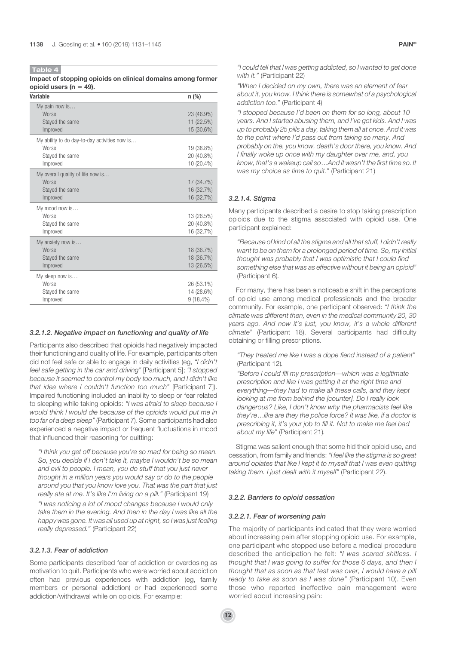Impact of stopping opioids on clinical domains among former opioid users ( $n = 49$ ).

| <b>Variable</b>                                                                       | n (%)                                   |
|---------------------------------------------------------------------------------------|-----------------------------------------|
| My pain now is<br>Worse<br>Stayed the same<br>Improved                                | 23 (46.9%)<br>11 (22.5%)<br>15 (30.6%)  |
| My ability to do day-to-day activities now is<br>Worse<br>Stayed the same<br>Improved | 19 (38.8%)<br>20 (40.8%)<br>10 (20.4%)  |
| My overall quality of life now is<br><b>Worse</b><br>Stayed the same<br>Improved      | 17 (34.7%)<br>16 (32.7%)<br>16 (32.7%)  |
| My mood now is<br>Worse<br>Stayed the same<br>Improved                                | 13 (26.5%)<br>20 (40.8%)<br>16 (32.7%)  |
| My anxiety now is<br><b>Worse</b><br>Stayed the same<br>Improved                      | 18 (36.7%)<br>18 (36.7%)<br>13 (26.5%)  |
| My sleep now is<br>Worse<br>Stayed the same<br>Improved                               | 26 (53.1%)<br>14 (28.6%)<br>$9(18.4\%)$ |

#### 3.2.1.2. Negative impact on functioning and quality of life

Participants also described that opioids had negatively impacted their functioning and quality of life. For example, participants often did not feel safe or able to engage in daily activities (eg, "I didn't feel safe getting in the car and driving" [Participant 5]; "I stopped because it seemed to control my body too much, and I didn't like that idea where I couldn't function too much" [Participant 7]). Impaired functioning included an inability to sleep or fear related to sleeping while taking opioids: "I was afraid to sleep because I would think I would die because of the opioids would put me in too far of a deep sleep"(Participant 7). Some participants had also experienced a negative impact or frequent fluctuations in mood that influenced their reasoning for quitting:

"I think you get off because you're so mad for being so mean. So, you decide if I don't take it, maybe I wouldn't be so mean and evil to people. I mean, you do stuff that you just never thought in a million years you would say or do to the people around you that you know love you. That was the part that just really ate at me. It's like I'm living on a pill." (Participant 19)

"I was noticing a lot of mood changes because I would only take them in the evening. And then in the day I was like all the happy was gone. It was all used up at night, so I was just feeling really depressed." (Participant 22)

#### 3.2.1.3. Fear of addiction

Some participants described fear of addiction or overdosing as motivation to quit. Participants who were worried about addiction often had previous experiences with addiction (eg, family members or personal addiction) or had experienced some addiction/withdrawal while on opioids. For example:

"I could tell that I was getting addicted, so I wanted to get done with it." (Participant 22)

"When I decided on my own, there was an element of fear about it, you know. I think there is somewhat of a psychological addiction too." (Participant 4)

"I stopped because I'd been on them for so long, about 10 years. And I started abusing them, and I've got kids. And I was up to probably 25 pills a day, taking them all at once. And it was to the point where I'd pass out from taking so many. And probably on the, you know, death's door there, you know. And I finally woke up once with my daughter over me, and, you know, that's a wakeup call so…And it wasn't the first time so. It was my choice as time to quit." (Participant 21)

# 3.2.1.4. Stigma

Many participants described a desire to stop taking prescription opioids due to the stigma associated with opioid use. One participant explained:

"Because of kind of all the stigma and all that stuff, I didn't really want to be on them for a prolonged period of time. So, my initial thought was probably that I was optimistic that I could find something else that was as effective without it being an opioid" (Participant 6).

For many, there has been a noticeable shift in the perceptions of opioid use among medical professionals and the broader community. For example, one participant observed: "I think the climate was different then, even in the medical community 20, 30 years ago. And now it's just, you know, it's a whole different climate" (Participant 18). Several participants had difficulty obtaining or filling prescriptions.

"They treated me like I was a dope fiend instead of a patient" (Participant 12).

"Before I could fill my prescription—which was a legitimate prescription and like I was getting it at the right time and everything—they had to make all these calls, and they kept looking at me from behind the [counter]. Do I really look dangerous? Like, I don't know why the pharmacists feel like they're…like are they the police force? It was like, if a doctor is prescribing it, it's your job to fill it. Not to make me feel bad about my life" (Participant 21).

Stigma was salient enough that some hid their opioid use, and cessation, from family and friends: "I feel like the stigma is so great around opiates that like I kept it to myself that I was even quitting taking them. I just dealt with it myself" (Participant 22).

#### 3.2.2. Barriers to opioid cessation

#### 3.2.2.1. Fear of worsening pain

The majority of participants indicated that they were worried about increasing pain after stopping opioid use. For example, one participant who stopped use before a medical procedure described the anticipation he felt: "I was scared shitless. I thought that I was going to suffer for those 6 days, and then I thought that as soon as that test was over, I would have a pill ready to take as soon as I was done" (Participant 10). Even those who reported ineffective pain management were worried about increasing pain: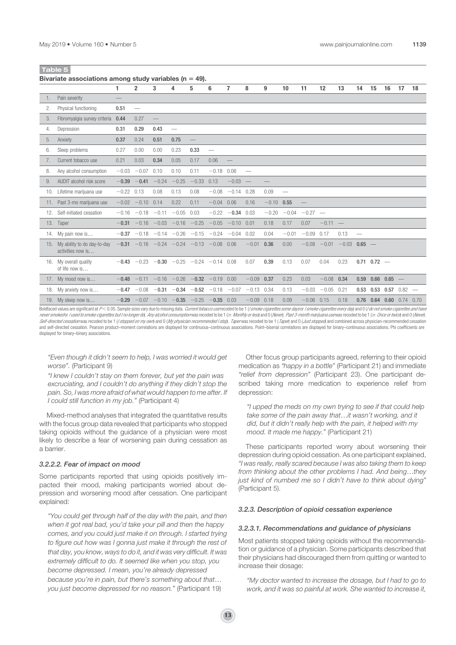|     |                                                  | 1            | $\overline{2}$          | 3                        | 4                                                            | 5                 | 6                               | $\overline{7}$       | 8                        | 9            | 10                       | 11              | 12           | 13                     | 14                       | 15              | 16                     | 17       | 18               |
|-----|--------------------------------------------------|--------------|-------------------------|--------------------------|--------------------------------------------------------------|-------------------|---------------------------------|----------------------|--------------------------|--------------|--------------------------|-----------------|--------------|------------------------|--------------------------|-----------------|------------------------|----------|------------------|
| 1.  | Pain severity                                    |              |                         |                          |                                                              |                   |                                 |                      |                          |              |                          |                 |              |                        |                          |                 |                        |          |                  |
| 2.  | Physical functioning                             | 0.51         |                         |                          |                                                              |                   |                                 |                      |                          |              |                          |                 |              |                        |                          |                 |                        |          |                  |
| 3.  | Fibromyalgia survey criteria                     | 0.44         | 0.27                    | $\overline{\phantom{m}}$ |                                                              |                   |                                 |                      |                          |              |                          |                 |              |                        |                          |                 |                        |          |                  |
| 4.  | Depression                                       | 0.31         | 0.29                    | 0.43                     |                                                              |                   |                                 |                      |                          |              |                          |                 |              |                        |                          |                 |                        |          |                  |
| 5.  | Anxiety                                          | 0.37         | 0.24                    | 0.51                     | 0.75                                                         | $\qquad \qquad -$ |                                 |                      |                          |              |                          |                 |              |                        |                          |                 |                        |          |                  |
| 6.  | Sleep problems                                   | 0.27         | 0.00                    | 0.00                     | 0.23                                                         | 0.33              | $\overbrace{\qquad \qquad }^{}$ |                      |                          |              |                          |                 |              |                        |                          |                 |                        |          |                  |
| 7.  | Current tobacco use                              | 0.21         | 0.03                    | 0.34                     | 0.05                                                         | 0.17              | 0.06                            |                      |                          |              |                          |                 |              |                        |                          |                 |                        |          |                  |
| 8.  | Any alcohol consumption                          |              | $-0.03 -0.07$           | 0.10                     | 0.10                                                         | 0.11              | $-0.18$ 0.06                    |                      | $\overline{\phantom{a}}$ |              |                          |                 |              |                        |                          |                 |                        |          |                  |
| 9.  | AUDIT alcohol risk score                         | $-0.39$      | $-0.41$                 | $-0.24$                  | $-0.25$                                                      | $-0.33$           | 0.13                            | $-0.03 -$            |                          |              |                          |                 |              |                        |                          |                 |                        |          |                  |
|     | 10. Lifetime marijuana use                       | $-0.22$ 0.13 |                         | 0.08                     | 0.13                                                         | 0.08              |                                 | $-0.08$ $-0.14$ 0.28 |                          | 0.09         | $\overline{\phantom{0}}$ |                 |              |                        |                          |                 |                        |          |                  |
|     | 11. Past 3-mo marijuana use                      |              | $-0.02 -0.10 0.14$      |                          | 0.22                                                         | 0.11              | $-0.04$ 0.06                    |                      | 0.16                     | $-0.10$ 0.55 |                          |                 |              |                        |                          |                 |                        |          |                  |
|     | 12. Self-initiated cessation                     |              | $-0.16$ $-0.18$ $-0.11$ |                          | $-0.05$ 0.03                                                 |                   |                                 | $-0.22 -0.34$        | 0.03                     | $-0.20$      |                          | $-0.04 -0.27 -$ |              |                        |                          |                 |                        |          |                  |
|     | 13. Taper                                        |              |                         |                          | $-0.31$ $-0.16$ $-0.03$ $-0.16$ $-0.25$ $-0.05$ $-0.10$ 0.01 |                   |                                 |                      |                          | 0.18         | 0.17                     | 0.07            | $-0.11$ –    |                        |                          |                 |                        |          |                  |
|     | 14. My pain now is                               |              |                         |                          | $-0.37$ $-0.18$ $-0.14$ $-0.26$ $-0.15$ $-0.24$ $-0.04$ 0.02 |                   |                                 |                      |                          | 0.04         | $-0.01$                  | $-0.09$ 0.17    |              | 0.13                   | $\overline{\phantom{m}}$ |                 |                        |          |                  |
| 15. | My ability to do day-to-day<br>activities now is |              |                         |                          | $-0.31$ $-0.16$ $-0.24$ $-0.24$ $-0.13$ $-0.08$              |                   |                                 | 0.06                 | $-0.01$                  | 0.36         | 0.00                     | $-0.08$         |              | $-0.01$ $-0.03$ 0.65 - |                          |                 |                        |          |                  |
| 16. | My overall quality<br>of life now is             |              |                         |                          | $-0.43$ $-0.23$ $-0.30$ $-0.25$ $-0.24$ $-0.14$ 0.08         |                   |                                 |                      | 0.07                     | 0.39         | 0.13                     | 0.07            | 0.04         | 0.23                   |                          | $0.71$ $0.72$ - |                        |          |                  |
|     | 17. My mood now is                               |              |                         |                          | $-0.48$ $-0.11$ $-0.16$ $-0.26$ $-0.32$ $-0.19$              |                   |                                 | 0.00                 | $-0.09$ 0.37             |              | 0.23                     | 0.03            | $-0.08$ 0.34 |                        |                          |                 | $0.59$ $0.66$ $0.65$ - |          |                  |
| 18. | My anxiety now is                                |              |                         |                          | $-0.47 -0.08 -0.31 -0.34$                                    |                   | $-0.52 -0.18$                   | $-0.07$              | $-0.13$ 0.34             |              | 0.13                     | $-0.03$         | $-0.05$      | 0.21                   |                          |                 | $0.53$ $0.53$ $0.57$   | $0.82 -$ |                  |
|     | 19. My sleep now is                              |              |                         |                          | $-0.29$ $-0.07$ $-0.10$ $-0.35$ $-0.25$ $-0.35$              |                   |                                 | 0.03                 | $-0.09$                  | 0.18         | 0.09                     | $-0.06$ 0.15    |              | 0.18                   |                          | $0.76$ 0.64     |                        |          | $0.60$ 0.74 0.70 |

Boldfaced values are significant at P< 0.05. Sample sizes vary due to missing data. Current tobacco userecoded to be 1 (/smoke cigarettes some daysor / smoke cigarettes every day) and 0 (/ do not smoke cigarettes and have never smokedor I used to smoke cigarettes but I no longer do). Any alcohol consumption was recoded to be 1 ( $\geq$  Monthly or less) and 0 (Never). Past 3-month marijuana use was recoded to be 1 ( $\geq$  Once or twice) and 0 ( Self-directed cessation was recoded to be 1 (I stopped on my own) and 0 (My physician recommended I stop). Taper was recoded to be 1 (Taper and 0 (Just stopped) and combined across physician-recommended cessation and self-directed cessation. Pearson product–moment correlations are displayed for continuous–continuous associations. Point–biserial correlations are displayed for binary–continuous associations. Phi coefficients are displayed for binary–binary associations.

"Even though it didn't seem to help, I was worried it would get worse". (Participant 9)

"I knew I couldn't stay on them forever, but yet the pain was excruciating, and I couldn't do anything if they didn't stop the pain. So, I was more afraid of what would happen to me after. If I could still function in my job." (Participant 4)

Mixed-method analyses that integrated the quantitative results with the focus group data revealed that participants who stopped taking opioids without the guidance of a physician were most likely to describe a fear of worsening pain during cessation as a barrier.

#### 3.2.2.2. Fear of impact on mood

Some participants reported that using opioids positively impacted their mood, making participants worried about depression and worsening mood after cessation. One participant explained:

"You could get through half of the day with the pain, and then when it got real bad, you'd take your pill and then the happy comes, and you could just make it on through. I started trying to figure out how was I gonna just make it through the rest of that day, you know, ways to do it, and it was very difficult. It was extremely difficult to do. It seemed like when you stop, you become depressed. I mean, you're already depressed because you're in pain, but there's something about that… you just become depressed for no reason." (Participant 19)

Other focus group participants agreed, referring to their opioid medication as "happy in a bottle" (Participant 21) and immediate "relief from depression" (Participant 23). One participant described taking more medication to experience relief from depression:

"I upped the meds on my own trying to see if that could help take some of the pain away that…it wasn't working, and it did, but it didn't really help with the pain, it helped with my mood. It made me happy." (Participant 21)

These participants reported worry about worsening their depression during opioid cessation. As one participant explained, "I was really, really scared because I was also taking them to keep from thinking about the other problems I had. And being…they just kind of numbed me so I didn't have to think about dying" (Participant 5).

# 3.2.3. Description of opioid cessation experience

#### 3.2.3.1. Recommendations and guidance of physicians

Most patients stopped taking opioids without the recommendation or guidance of a physician. Some participants described that their physicians had discouraged them from quitting or wanted to increase their dosage:

"My doctor wanted to increase the dosage, but I had to go to work, and it was so painful at work. She wanted to increase it,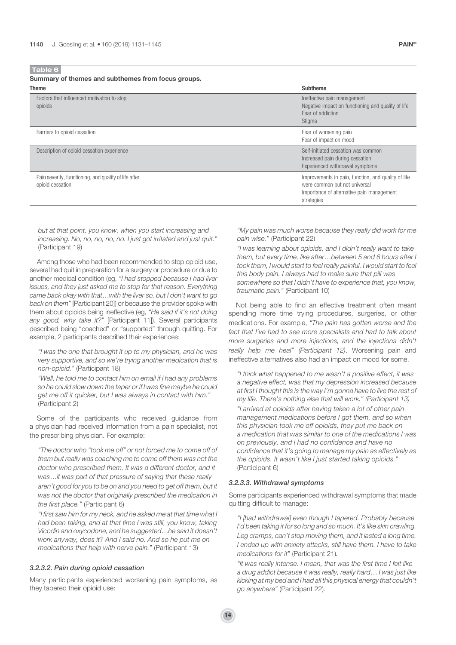Summary of themes and subthemes from focus groups.

| <b>Theme</b>                                                              | <b>Subtheme</b>                                                                                                                                 |
|---------------------------------------------------------------------------|-------------------------------------------------------------------------------------------------------------------------------------------------|
| Factors that influenced motivation to stop<br>opioids                     | Ineffective pain management<br>Negative impact on functioning and quality of life<br>Fear of addiction<br>Stigma                                |
| Barriers to opioid cessation                                              | Fear of worsening pain<br>Fear of impact on mood                                                                                                |
| Description of opioid cessation experience                                | Self-initiated cessation was common<br>Increased pain during cessation<br>Experienced withdrawal symptoms                                       |
| Pain severity, functioning, and quality of life after<br>opioid cessation | Improvements in pain, function, and quality of life<br>were common but not universal<br>Importance of alternative pain management<br>strategies |

but at that point, you know, when you start increasing and increasing. No, no, no, no, no. I just got irritated and just quit." (Participant 19)

Among those who had been recommended to stop opioid use, several had quit in preparation for a surgery or procedure or due to another medical condition (eg, "I had stopped because I had liver issues, and they just asked me to stop for that reason. Everything came back okay with that…with the liver so, but I don't want to go back on them"[Participant 20]) or because the provider spoke with them about opioids being ineffective (eg, "He said if it's not doing any good, why take it?" [Participant 11]). Several participants described being "coached" or "supported" through quitting. For example, 2 participants described their experiences:

"I was the one that brought it up to my physician, and he was very supportive, and so we're trying another medication that is non-opioid." (Participant 18)

"Well, he told me to contact him on email if I had any problems so he could slow down the taper or if I was fine maybe he could get me off it quicker, but I was always in contact with him." (Participant 2)

Some of the participants who received guidance from a physician had received information from a pain specialist, not the prescribing physician. For example:

"The doctor who "took me off" or not forced me to come off of them but really was coaching me to come off them was not the doctor who prescribed them. It was a different doctor, and it was…it was part of that pressure of saying that these really aren't good for you to be on and you need to get off them, but it was not the doctor that originally prescribed the medication in the first place." (Participant 6)

"I first saw him for my neck, and he asked me at that time what I had been taking, and at that time I was still, you know, taking Vicodin and oxycodone, and he suggested…he said it doesn't work anyway, does it? And I said no. And so he put me on medications that help with nerve pain." (Participant 13)

# 3.2.3.2. Pain during opioid cessation

Many participants experienced worsening pain symptoms, as they tapered their opioid use:

"My pain was much worse because they really did work for me pain wise." (Participant 22)

"I was learning about opioids, and I didn't really want to take them, but every time, like after…between 5 and 6 hours after I took them, I would start to feel really painful. I would start to feel this body pain. I always had to make sure that pill was somewhere so that I didn't have to experience that, you know, traumatic pain." (Participant 10)

Not being able to find an effective treatment often meant spending more time trying procedures, surgeries, or other medications. For example, "The pain has gotten worse and the fact that I've had to see more specialists and had to talk about more surgeries and more injections, and the injections didn't really help me heal" (Participant 12). Worsening pain and ineffective alternatives also had an impact on mood for some.

"I think what happened to me wasn't a positive effect, it was a negative effect, was that my depression increased because at first I thought this is the way I'm gonna have to live the rest of my life. There's nothing else that will work." (Participant 13) "I arrived at opioids after having taken a lot of other pain management medications before I got them, and so when this physician took me off opioids, they put me back on a medication that was similar to one of the medications I was on previously, and I had no confidence and have no confidence that it's going to manage my pain as effectively as the opioids. It wasn't like I just started taking opioids." (Participant 6)

#### 3.2.3.3. Withdrawal symptoms

Some participants experienced withdrawal symptoms that made quitting difficult to manage:

"I [had withdrawal] even though I tapered. Probably because I'd been taking it for so long and so much. It's like skin crawling. Leg cramps, can't stop moving them, and it lasted a long time. I ended up with anxiety attacks, still have them. I have to take medications for it" (Participant 21).

"It was really intense. I mean, that was the first time I felt like a drug addict because it was really, really hard… I was just like kicking at my bed and I had all this physical energy that couldn't go anywhere" (Participant 22).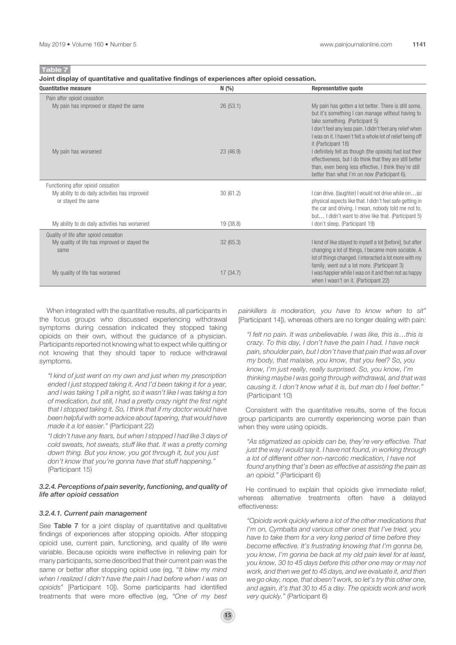Joint display of quantitative and qualitative findings of experiences after opioid cessation.

| <b>Quantitative measure</b>                                                                                | N(%)     | <b>Representative quote</b>                                                                                                                                                                                                                                                                      |
|------------------------------------------------------------------------------------------------------------|----------|--------------------------------------------------------------------------------------------------------------------------------------------------------------------------------------------------------------------------------------------------------------------------------------------------|
| Pain after opioid cessation                                                                                |          |                                                                                                                                                                                                                                                                                                  |
| My pain has improved or stayed the same                                                                    | 26(53.1) | My pain has gotten a lot better. There is still some,<br>but it's something I can manage without having to<br>take something. (Participant 5)<br>I don't feel any less pain. I didn't feel any relief when<br>I was on it. I haven't felt a whole lot of relief being off<br>it (Participant 18) |
| My pain has worsened                                                                                       | 23(46.9) | I definitely felt as though (the opioids) had lost their<br>effectiveness, but I do think that they are still better<br>than, even being less effective, I think they're still<br>better than what I'm on now (Participant 6).                                                                   |
| Functioning after opioid cessation<br>My ability to do daily activities has improved<br>or stayed the same | 30(61.2) | I can drive. (laughter) I would not drive while onso<br>physical aspects like that. I didn't feel safe getting in<br>the car and driving. I mean, nobody told me not to,<br>but I didn't want to drive like that. (Participant 5)                                                                |
| My ability to do daily activities has worsened                                                             | 19(38.8) | I don't sleep. (Participant 19)                                                                                                                                                                                                                                                                  |
| Quality of life after opioid cessation                                                                     |          |                                                                                                                                                                                                                                                                                                  |
| My quality of life has improved or stayed the<br>same                                                      | 32(65.3) | I kind of like stayed to myself a lot [before], but after<br>changing a lot of things, I became more sociable. A<br>lot of things changed. I interacted a lot more with my<br>family, went out a lot more. (Participant 3)                                                                       |
| My quality of life has worsened                                                                            | 17(34.7) | I was happier while I was on it and then not as happy<br>when I wasn't on it. (Participant 22)                                                                                                                                                                                                   |

When integrated with the quantitative results, all participants in the focus groups who discussed experiencing withdrawal symptoms during cessation indicated they stopped taking opioids on their own, without the guidance of a physician. Participants reported not knowing what to expect while quitting or not knowing that they should taper to reduce withdrawal symptoms.

"I kind of just went on my own and just when my prescription ended I just stopped taking it. And I'd been taking it for a year, and I was taking 1 pill a night, so it wasn't like I was taking a ton of medication, but still, I had a pretty crazy night the first night that I stopped taking it. So, I think that if my doctor would have been helpful with some advice about tapering, that would have made it a lot easier." (Participant 22)

"I didn't have any fears, but when I stopped I had like 3 days of cold sweats, hot sweats, stuff like that. It was a pretty coming down thing. But you know, you got through it, but you just don't know that you're gonna have that stuff happening." (Participant 15)

#### 3.2.4. Perceptions of pain severity, functioning, and quality of life after opioid cessation

#### 3.2.4.1. Current pain management

See Table 7 for a joint display of quantitative and qualitative findings of experiences after stopping opioids. After stopping opioid use, current pain, functioning, and quality of life were variable. Because opioids were ineffective in relieving pain for many participants, some described that their current pain was the same or better after stopping opioid use (eg, "It blew my mind when I realized I didn't have the pain I had before when I was on opioids" [Participant 10]). Some participants had identified treatments that were more effective (eg, "One of my best painkillers is moderation, you have to know when to sit" [Participant 14]), whereas others are no longer dealing with pain:

"I felt no pain. It was unbelievable. I was like, this is…this is crazy. To this day, I don't have the pain I had. I have neck pain, shoulder pain, but I don't have that pain that was all over my body, that malaise, you know, that you feel? So, you know, I'm just really, really surprised. So, you know, I'm thinking maybe I was going through withdrawal, and that was causing it. I don't know what it is, but man do I feel better." (Participant 10)

Consistent with the quantitative results, some of the focus group participants are currently experiencing worse pain than when they were using opioids.

"As stigmatized as opioids can be, they're very effective. That just the way I would say it. I have not found, in working through a lot of different other non-narcotic medication, I have not found anything that's been as effective at assisting the pain as an opioid." (Participant 6)

He continued to explain that opioids give immediate relief, whereas alternative treatments often have a delayed effectiveness:

"Opioids work quickly where a lot of the other medications that I'm on, Cymbalta and various other ones that I've tried, you have to take them for a very long period of time before they become effective. It's frustrating knowing that I'm gonna be, you know, I'm gonna be back at my old pain level for at least, you know, 30 to 45 days before this other one may or may not work, and then we get to 45 days, and we evaluate it, and then we go okay, nope, that doesn't work, so let's try this other one, and again, it's that 30 to 45 a day. The opioids work and work very quickly." (Participant 6)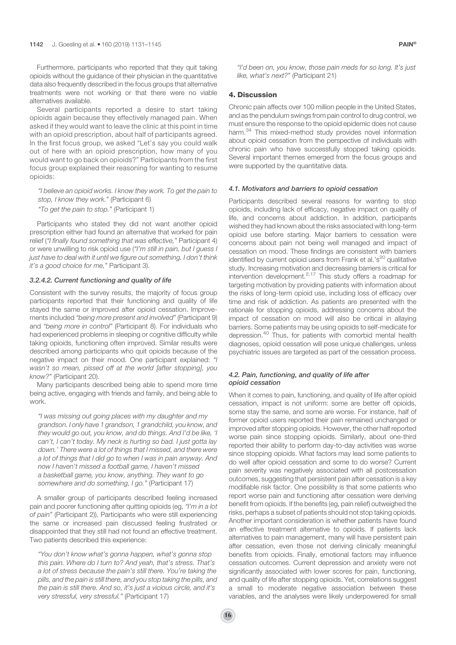Furthermore, participants who reported that they quit taking opioids without the guidance of their physician in the quantitative data also frequently described in the focus groups that alternative treatments were not working or that there were no viable alternatives available.

Several participants reported a desire to start taking opioids again because they effectively managed pain. When asked if they would want to leave the clinic at this point in time with an opioid prescription, about half of participants agreed. In the first focus group, we asked "Let's say you could walk out of here with an opioid prescription, how many of you would want to go back on opioids?" Participants from the first focus group explained their reasoning for wanting to resume opioids:

"I believe an opioid works. I know they work. To get the pain to stop, I know they work." (Participant 6)

"To get the pain to stop." (Participant 1)

Participants who stated they did not want another opioid prescription either had found an alternative that worked for pain relief ("I finally found something that was effective," Participant 4) or were unwilling to risk opioid use ("I'm still in pain, but I guess I just have to deal with it until we figure out something. I don't think it's a good choice for me," Participant 3).

# 3.2.4.2. Current functioning and quality of life

Consistent with the survey results, the majority of focus group participants reported that their functioning and quality of life stayed the same or improved after opioid cessation. Improvements included "being more present and involved" (Participant 9) and "being more in control" (Participant 8). For individuals who had experienced problems in sleeping or cognitive difficulty while taking opioids, functioning often improved. Similar results were described among participants who quit opioids because of the negative impact on their mood. One participant explained: "I wasn't so mean, pissed off at the world [after stopping], you know?" (Participant 20).

Many participants described being able to spend more time being active, engaging with friends and family, and being able to work.

"I was missing out going places with my daughter and my grandson. I only have 1 grandson, 1 grandchild, you know, and they would go out, you know, and do things. And I'd be like, 'I can't, I can't today. My neck is hurting so bad. I just gotta lay down.' There were a lot of things that I missed, and there were a lot of things that I did go to when I was in pain anyway. And now I haven't missed a football game, I haven't missed a basketball game, you know, anything. They want to go somewhere and do something, I go." (Participant 17)

A smaller group of participants described feeling increased pain and poorer functioning after quitting opioids (eg, "I'm in a lot of pain" (Participant 2)). Participants who were still experiencing the same or increased pain discussed feeling frustrated or disappointed that they still had not found an effective treatment. Two patients described this experience:

"You don't know what's gonna happen, what's gonna stop this pain. Where do I turn to? And yeah, that's stress. That's a lot of stress because the pain's still there. You're taking the pills, and the pain is still there, and you stop taking the pills, and the pain is still there. And so, it's just a vicious circle, and it's very stressful, very stressful." (Participant 17)

"I'd been on, you know, those pain meds for so long. It's just like, what's next?" (Participant 21)

# 4. Discussion

Chronic pain affects over 100 million people in the United States, and as the pendulum swings from pain control to drug control, we must ensure the response to the opioid epidemic does not cause harm.<sup>34</sup> This mixed-method study provides novel information about opioid cessation from the perspective of individuals with chronic pain who have successfully stopped taking opioids. Several important themes emerged from the focus groups and were supported by the quantitative data.

# 4.1. Motivators and barriers to opioid cessation

Participants described several reasons for wanting to stop opioids, including lack of efficacy, negative impact on quality of life, and concerns about addiction. In addition, participants wished they had known about the risks associated with long-term opioid use before starting. Major barriers to cessation were concerns about pain not being well managed and impact of cessation on mood. These findings are consistent with barriers identified by current opioid users from Frank et al.'s<sup>20</sup> qualitative study. Increasing motivation and decreasing barriers is critical for intervention development. $2,17$  This study offers a roadmap for targeting motivation by providing patients with information about the risks of long-term opioid use, including loss of efficacy over time and risk of addiction. As patients are presented with the rationale for stopping opioids, addressing concerns about the impact of cessation on mood will also be critical in allaying barriers. Some patients may be using opioids to self-medicate for depression.<sup>40</sup> Thus, for patients with comorbid mental health diagnoses, opioid cessation will pose unique challenges, unless psychiatric issues are targeted as part of the cessation process.

# 4.2. Pain, functioning, and quality of life after opioid cessation

When it comes to pain, functioning, and quality of life after opioid cessation, impact is not uniform: some are better off opioids, some stay the same, and some are worse. For instance, half of former opioid users reported their pain remained unchanged or improved after stopping opioids. However, the other half reported worse pain since stopping opioids. Similarly, about one-third reported their ability to perform day-to-day activities was worse since stopping opioids. What factors may lead some patients to do well after opioid cessation and some to do worse? Current pain severity was negatively associated with all postcessation outcomes, suggesting that persistent pain after cessation is a key modifiable risk factor. One possibility is that some patients who report worse pain and functioning after cessation were deriving benefit from opioids. If the benefits (eg, pain relief) outweighed the risks, perhaps a subset of patients should not stop taking opioids. Another important consideration is whether patients have found an effective treatment alternative to opioids. If patients lack alternatives to pain management, many will have persistent pain after cessation, even those not deriving clinically meaningful benefits from opioids. Finally, emotional factors may influence cessation outcomes. Current depression and anxiety were not significantly associated with lower scores for pain, functioning, and quality of life after stopping opioids. Yet, correlations suggest a small to moderate negative association between these variables, and the analyses were likely underpowered for small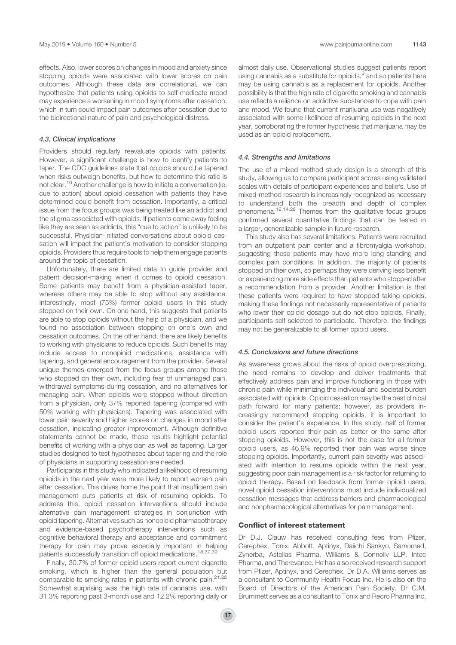effects. Also, lower scores on changes in mood and anxiety since stopping opioids were associated with lower scores on pain outcomes. Although these data are correlational, we can hypothesize that patients using opioids to self-medicate mood may experience a worsening in mood symptoms after cessation, which in turn could impact pain outcomes after cessation due to the bidirectional nature of pain and psychological distress.

# 4.3. Clinical implications

Providers should regularly reevaluate opioids with patients. However, a significant challenge is how to identify patients to taper. The CDC guidelines state that opioids should be tapered when risks outweigh benefits, but how to determine this ratio is not clear.<sup>16</sup> Another challenge is how to initiate a conversation (ie, cue to action) about opioid cessation with patients they have determined could benefit from cessation. Importantly, a critical issue from the focus groups was being treated like an addict and the stigma associated with opioids. If patients come away feeling like they are seen as addicts, this "cue to action" is unlikely to be successful. Physician-initiated conversations about opioid cessation will impact the patient's motivation to consider stopping opioids. Providers thus require tools to help them engage patients around the topic of cessation.

Unfortunately, there are limited data to guide provider and patient decision-making when it comes to opioid cessation. Some patients may benefit from a physician-assisted taper, whereas others may be able to stop without any assistance. Interestingly, most (75%) former opioid users in this study stopped on their own. On one hand, this suggests that patients are able to stop opioids without the help of a physician, and we found no association between stopping on one's own and cessation outcomes. On the other hand, there are likely benefits to working with physicians to reduce opioids. Such benefits may include access to nonopioid medications, assistance with tapering, and general encouragement from the provider. Several unique themes emerged from the focus groups among those who stopped on their own, including fear of unmanaged pain, withdrawal symptoms during cessation, and no alternatives for managing pain. When opioids were stopped without direction from a physician, only 37% reported tapering (compared with 50% working with physicians). Tapering was associated with lower pain severity and higher scores on changes in mood after cessation, indicating greater improvement. Although definitive statements cannot be made, these results highlight potential benefits of working with a physician as well as tapering. Larger studies designed to test hypotheses about tapering and the role of physicians in supporting cessation are needed.

Participants in this study who indicated a likelihood of resuming opioids in the next year were more likely to report worsen pain after cessation. This drives home the point that insufficient pain management puts patients at risk of resuming opioids. To address this, opioid cessation interventions should include alternative pain management strategies in conjunction with opioid tapering. Alternatives such as nonopioid pharmacotherapy and evidence-based psychotherapy interventions such as cognitive behavioral therapy and acceptance and commitment therapy for pain may prove especially important in helping patients successfully transition off opioid medications.18,37,39

Finally, 30.7% of former opioid users report current cigarette smoking, which is higher than the general population but comparable to smoking rates in patients with chronic pain.<sup>21,22</sup> Somewhat surprising was the high rate of cannabis use, with 31.3% reporting past 3-month use and 12.2% reporting daily or almost daily use. Observational studies suggest patients report using cannabis as a substitute for opioids, $3$  and so patients here may be using cannabis as a replacement for opioids. Another possibility is that the high rate of cigarette smoking and cannabis use reflects a reliance on addictive substances to cope with pain and mood. We found that current marijuana use was negatively associated with some likelihood of resuming opioids in the next year, corroborating the former hypothesis that marijuana may be used as an opioid replacement.

# 4.4. Strengths and limitations

The use of a mixed-method study design is a strength of this study, allowing us to compare participant scores using validated scales with details of participant experiences and beliefs. Use of mixed-method research is increasingly recognized as necessary to understand both the breadth and depth of complex phenomena.12,14,28 Themes from the qualitative focus groups confirmed several quantitative findings that can be tested in a larger, generalizable sample in future research.

This study also has several limitations. Patients were recruited from an outpatient pain center and a fibromyalgia workshop, suggesting these patients may have more long-standing and complex pain conditions. In addition, the majority of patients stopped on their own, so perhaps they were deriving less benefit or experiencing more side effects than patients who stopped after a recommendation from a provider. Another limitation is that these patients were required to have stopped taking opioids, making these findings not necessarily representative of patients who lower their opioid dosage but do not stop opioids. Finally, participants self-selected to participate. Therefore, the findings may not be generalizable to all former opioid users.

#### 4.5. Conclusions and future directions

As awareness grows about the risks of opioid overprescribing, the need remains to develop and deliver treatments that effectively address pain and improve functioning in those with chronic pain while minimizing the individual and societal burden associated with opioids. Opioid cessation may be the best clinical path forward for many patients; however, as providers increasingly recommend stopping opioids, it is important to consider the patient's experience. In this study, half of former opioid users reported their pain as better or the same after stopping opioids. However, this is not the case for all former opioid users, as 46.9% reported their pain was worse since stopping opioids. Importantly, current pain severity was associated with intention to resume opioids within the next year, suggesting poor pain management is a risk factor for returning to opioid therapy. Based on feedback from former opioid users, novel opioid cessation interventions must include individualized cessation messages that address barriers and pharmacological and nonpharmacological alternatives for pain management.

# Conflict of interest statement

Dr D.J. Clauw has received consulting fees from Pfizer, Cerephex, Tonix, Abbott, Aptinyx, Daiichi Sankyo, Samumed, Zynerba, Astellas Pharma, Williams & Connolly LLP, Intec Pharma, and Therevance. He has also received research support from Pfizer, Aptinyx, and Cerephex. Dr D.A. Williams serves as a consultant to Community Health Focus Inc. He is also on the Board of Directors of the American Pain Society. Dr C.M. Brummett serves as a consultant to Tonix and Recro Pharma Inc,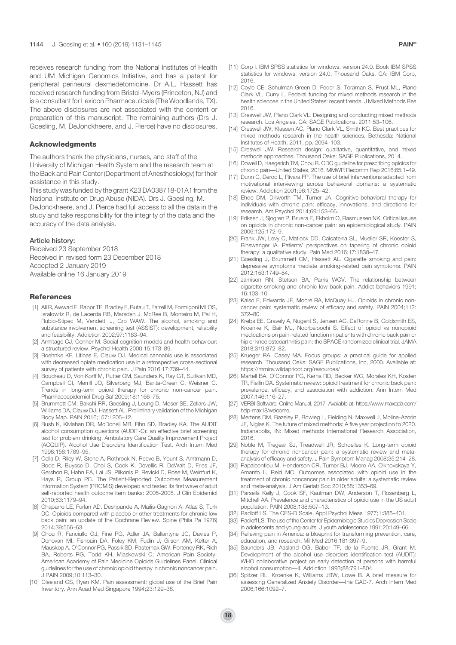receives research funding from the National Institutes of Health and UM Michigan Genomics Initiative, and has a patent for peripheral perineural dexmedetomidine. Dr A.L. Hassett has received research funding from Bristol-Myers (Princeton, NJ) and is a consultant for Lexicon Pharmaceuticals (The Woodlands, TX). The above disclosures are not associated with the content or preparation of this manuscript. The remaining authors (Drs J. Goesling, M. DeJonckheere, and J. Pierce) have no disclosures.

# Acknowledgments

The authors thank the physicians, nurses, and staff of the University of Michigan Health System and the research team at the Back and Pain Center (Department of Anesthesiology) for their assistance in this study.

This study was funded by the grant K23 DA038718-01A1 from the National Institute on Drug Abuse (NIDA). Drs J. Goesling, M. DeJonckheere, and J. Pierce had full access to all the data in the study and take responsibility for the integrity of the data and the accuracy of the data analysis.

# Article history:

Received 23 September 2018 Received in revised form 23 December 2018 Accepted 2 January 2019 Available online 16 January 2019

#### References

- [1] Ali R, Awwad E, Babor TF, Bradley F, Butau T, Farrell M, Formigoni MLOS, Isralowitz R, de Lacerda RB, Marsden J, McRee B, Monteiro M, Pal H, Rubio-Stipec M, Vendetti J, Grp WAW. The alcohol, smoking and substance involvement screening test (ASSIST): development, reliability and feasibility. Addiction 2002;97:1183–94.
- [2] Armitage CJ, Conner M. Social cognition models and health behaviour: a structured review. Psychol Health 2000;15:173–89.
- [3] Boehnke KF, Litinas E, Clauw DJ. Medical cannabis use is associated with decreased opiate medication use in a retrospective cross-sectional survey of patients with chronic pain. J Pain 2016;17:739–44.
- [4] Boudreau D, Von Korff M, Rutter CM, Saunders K, Ray GT, Sullivan MD, Campbell CI, Merrill JO, Silverberg MJ, Banta-Green C, Weisner C. Trends in long-term opioid therapy for chronic non-cancer pain. Pharmacoepidemiol Drug Saf 2009;18:1166–75.
- [5] Brummett CM, Bakshi RR, Goesling J, Leung D, Moser SE, Zollars JW, Williams DA, Clauw DJ, Hassett AL. Preliminary validation of the Michigan Body Map. PAIN 2016;157:1205–12.
- [6] Bush K, Kivlahan DR, McDonell MB, Fihn SD, Bradley KA. The AUDIT alcohol consumption questions (AUDIT-C): an effective brief screening test for problem drinking. Ambulatory Care Quality Improvement Project (ACQUIP). Alcohol Use Disorders Identification Test. Arch Intern Med 1998;158:1789–95.
- [7] Cella D, Riley W, Stone A, Rothrock N, Reeve B, Yount S, Amtmann D, Bode R, Buysse D, Choi S, Cook K, Devellis R, DeWalt D, Fries JF, Gershon R, Hahn EA, Lai JS, Pilkonis P, Revicki D, Rose M, Weinfurt K, Hays R, Group PC. The Patient-Reported Outcomes Measurement Information System (PROMIS) developed and tested its first wave of adult self-reported health outcome item banks: 2005-2008. J Clin Epidemiol 2010;63:1179–94.
- [8] Chaparro LE, Furlan AD, Deshpande A, Mailis-Gagnon A, Atlas S, Turk DC. Opioids compared with placebo or other treatments for chronic low back pain: an update of the Cochrane Review. Spine (Phila Pa 1976) 2014;39:556–63.
- [9] Chou R, Fanciullo GJ, Fine PG, Adler JA, Ballantyne JC, Davies P, Donovan MI, Fishbain DA, Foley KM, Fudin J, Gilson AM, Kelter A, Mauskop A, O'Connor PG, Passik SD, Pasternak GW, Portenoy RK, Rich BA, Roberts RG, Todd KH, Miaskowski C; American Pain Society-American Academy of Pain Medicine Opioids Guidelines Panel. Clinical guidelines for the use of chronic opioid therapy in chronic noncancer pain. J PAIN 2009;10:113–30.
- [10] Cleeland CS, Ryan KM. Pain assessment: global use of the Brief Pain Inventory. Ann Acad Med Singapore 1994;23:129–38.
- [11] Corp I. IBM SPSS statistics for windows, version 24.0. Book IBM SPSS statistics for windows, version 24.0. Thousand Oaks, CA: IBM Corp, 2016.
- [12] Coyle CE, Schulman-Green D, Feder S, Toraman S, Prust ML, Plano Clark VL, Curry L. Federal funding for mixed methods research in the health sciences in the United States: recent trends. J Mixed Methods Res 2016.
- [13] Creswell JW, Plano Clark VL. Designing and conducting mixed methods research. Los Angeles, CA: SAGE Publications, 2011:53–106.
- [14] Creswell JW, Klassen AC, Plano Clark VL, Smith KC. Best practices for mixed methods research in the health sciences. Bethesda: National Institutes of Health, 2011. pp. 2094–103.
- [15] Creswell JW. Research design: qualitative, quantitative, and mixed methods approaches. Thousand Oaks: SAGE Publications, 2014.
- [16] Dowell D, Haegerich TM, Chou R. CDC guideline for prescribing opioids for chronic pain—United States, 2016. MMWR Recomm Rep 2016;65:1–49.
- [17] Dunn C, Deroo L, Rivara FP. The use of brief interventions adapted from motivational interviewing across behavioral domains: a systematic review. Addiction 2001;96:1725–42.
- [18] Ehde DM, Dillworth TM, Turner JA. Cognitive-behavioral therapy for individuals with chronic pain: efficacy, innovations, and directions for research. Am Psychol 2014;69:153–66.
- [19] Eriksen J, Sjogren P, Bruera E, Ekholm O, Rasmussen NK. Critical issues on opioids in chronic non-cancer pain: an epidemiological study. PAIN 2006;125:172–9.
- [20] Frank JW, Levy C, Matlock DD, Calcaterra SL, Mueller SR, Koester S, Binswanger IA. Patients' perspectives on tapering of chronic opioid therapy: a qualitative study. Pain Med 2016;17:1838–47.
- [21] Goesling J, Brummett CM, Hassett AL. Cigarette smoking and pain: depressive symptoms mediate smoking-related pain symptoms. PAIN 2012;153:1749–54.
- [22] Jamison RN, Stetson BA, Parris WCV. The relationship between cigarette-smoking and chronic low-back-pain. Addict behaviors 1991; 16:103–10.
- [23] Kalso E, Edwards JE, Moore RA, McQuay HJ. Opioids in chronic noncancer pain: systematic review of efficacy and safety. PAIN 2004;112: 372–80.
- [24] Krebs EE, Gravely A, Nugent S, Jensen AC, DeRonne B, Goldsmith ES, Kroenke K, Bair MJ, Noorbaloochi S. Effect of opioid vs nonopioid medications on pain-related function in patients with chronic back pain or hip or knee osteoarthritis pain: the SPACE randomized clinical trial. JAMA 2018;319:872–82.
- [25] Krueger RA, Casey MA. Focus groups: a practical guide for applied research. Thousand Oaks: SAGE Publications, Inc, 2000. Available at: https://mmira.wildapricot.org/resources/
- [26] Martell BA, O'Connor PG, Kerns RD, Becker WC, Morales KH, Kosten TR, Fiellin DA. Systematic review: opioid treatment for chronic back pain: prevalence, efficacy, and association with addiction. Ann Intern Med 2007;146:116–27.
- [27] VERBI Software. Online Manual. 2017. Available at: https://www.maxqda.com/ help-max18/welcome.
- [28] Mertens DM, Bazeley P, Bowleg L, Fielding N, Maxwell J, Molina-Azorin JF, Niglas K. The future of mixed methods: A five year projection to 2020. Indianapolis, IN: Mixed methods International Research Association, 2016.
- [29] Noble M, Tregear SJ, Treadwell JR, Schoelles K. Long-term opioid therapy for chronic noncancer pain: a systematic review and metaanalysis of efficacy and safety. J Pain Symptom Manag 2008;35:214–28.
- [30] Papaleontiou M, Henderson CR, Turner BJ, Moore AA, Olkhovskaya Y, Amanfo L, Reid MC. Outcomes associated with opioid use in the treatment of chronic noncancer pain in older adults: a systematic review and meta-analysis. J Am Geriatr Soc 2010;58:1353–69.
- [31] Parsells Kelly J, Cook SF, Kaufman DW, Anderson T, Rosenberg L, Mitchell AA. Prevalence and characteristics of opioid use in the US adult population. PAIN 2008;138:507–13.
- [32] Radloff LS. The CES-D Scale. Appl Psychol Meas 1977;1:385-401.
- [33] Radloff LS. The use of the Center for Epidemiologic Studies Depression Scale in adolescents and young-adults. J youth adolescence 1991;20:149–66.
- [34] Relieving pain in America: a blueprint for transforming prevention, care, education, and research. Mil Med 2016;181:397–9.
- Saunders JB, Aasland OG, Babor TF, de la Fuente JR, Grant M. Development of the alcohol use disorders identification test (AUDIT): WHO collaborative project on early detection of persons with harmful alcohol consumption—II. Addiction 1993;88:791–804.
- [36] Spitzer RL, Kroenke K, Williams JBW, Lowe B. A brief measure for assessing Generalized Anxiety Disorder—the GAD-7. Arch Intern Med 2006;166:1092–7.

**18**